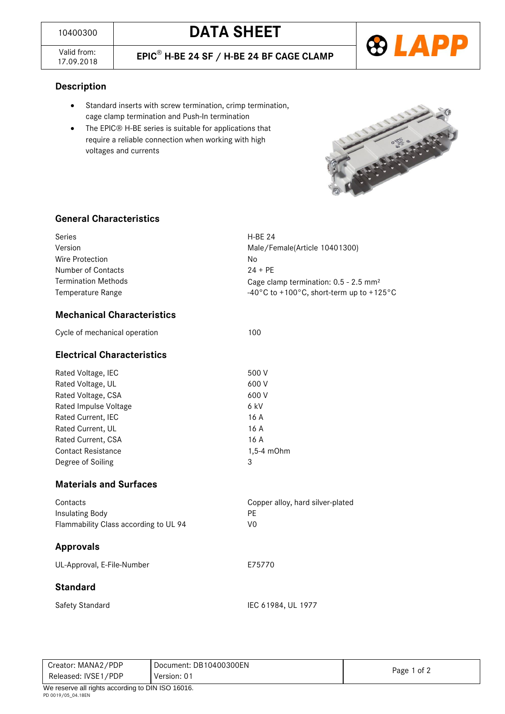Valid from:<br>17.09.2018

17.09.2018 **EPIC**® **H-BE 24 SF / H-BE 24 BF CAGE CLAMP**



**Description**

- Standard inserts with screw termination, crimp termination, cage clamp termination and Push-In termination
- The EPIC® H-BE series is suitable for applications that require a reliable connection when working with high voltages and currents



## **General Characteristics**

| Series                     | $H-BF$ 24                                                                 |  |
|----------------------------|---------------------------------------------------------------------------|--|
| Version                    | Male/Female(Article 10401300)                                             |  |
| Wire Protection            | No                                                                        |  |
| Number of Contacts         | $24 + PF$                                                                 |  |
| <b>Termination Methods</b> | Cage clamp termination: $0.5 - 2.5$ mm <sup>2</sup>                       |  |
| Temperature Range          | -40 $^{\circ}$ C to +100 $^{\circ}$ C, short-term up to +125 $^{\circ}$ C |  |

## **Mechanical Characteristics**

| <b>Electrical Characteristics</b> |            |
|-----------------------------------|------------|
| Rated Voltage, IEC                | 500 V      |
| Rated Voltage, UL                 | 600 V      |
| Rated Voltage, CSA                | 600 V      |
| Rated Impulse Voltage             | 6 kV       |
| Rated Current, IEC                | 16 A       |
| <b>Rated Current, UL</b>          | 16 A       |
| Rated Current, CSA                | 16 A       |
| <b>Contact Resistance</b>         | 1.5-4 m0hm |
| Degree of Soiling                 | 3          |

Cycle of mechanical operation 100

## **Materials and Surfaces**

| Flammability Class according to UL 94<br><b>Approvals</b> | V0                               |
|-----------------------------------------------------------|----------------------------------|
| Insulating Body                                           | РF                               |
| Contacts                                                  | Copper alloy, hard silver-plated |

UL-Approval, E-File-Number **E75770** 

### **Standard**

Safety Standard IEC 61984, UL 1977

Creator: MANA2/PDP Released: IVSE1/PDP Document: DB10400300EN Version: 01 Page 1 of 2